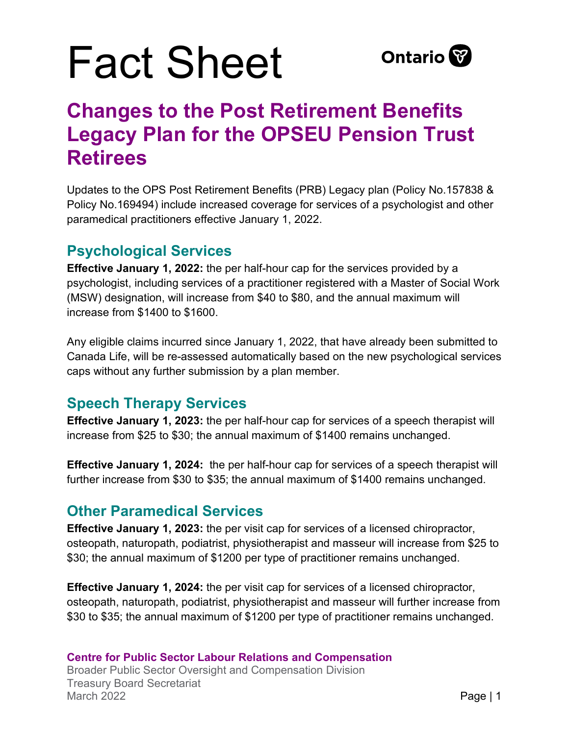# Fact Sheet



### **Changes to the Post Retirement Benefits Legacy Plan for the OPSEU Pension Trust Retirees**

Updates to the OPS Post Retirement Benefits (PRB) Legacy plan (Policy No.157838 & Policy No.169494) include increased coverage for services of a psychologist and other paramedical practitioners effective January 1, 2022.

#### **Psychological Services**

**Effective January 1, 2022:** the per half-hour cap for the services provided by a psychologist, including services of a practitioner registered with a Master of Social Work (MSW) designation, will increase from \$40 to \$80, and the annual maximum will increase from \$1400 to \$1600.

Any eligible claims incurred since January 1, 2022, that have already been submitted to Canada Life, will be re-assessed automatically based on the new psychological services caps without any further submission by a plan member.

#### **Speech Therapy Services**

**Effective January 1, 2023:** the per half-hour cap for services of a speech therapist will increase from \$25 to \$30; the annual maximum of \$1400 remains unchanged.

**Effective January 1, 2024:** the per half-hour cap for services of a speech therapist will further increase from \$30 to \$35; the annual maximum of \$1400 remains unchanged.

#### **Other Paramedical Services**

**Effective January 1, 2023:** the per visit cap for services of a licensed chiropractor, osteopath, naturopath, podiatrist, physiotherapist and masseur will increase from \$25 to \$30; the annual maximum of \$1200 per type of practitioner remains unchanged.

**Effective January 1, 2024:** the per visit cap for services of a licensed chiropractor, osteopath, naturopath, podiatrist, physiotherapist and masseur will further increase from \$30 to \$35; the annual maximum of \$1200 per type of practitioner remains unchanged.